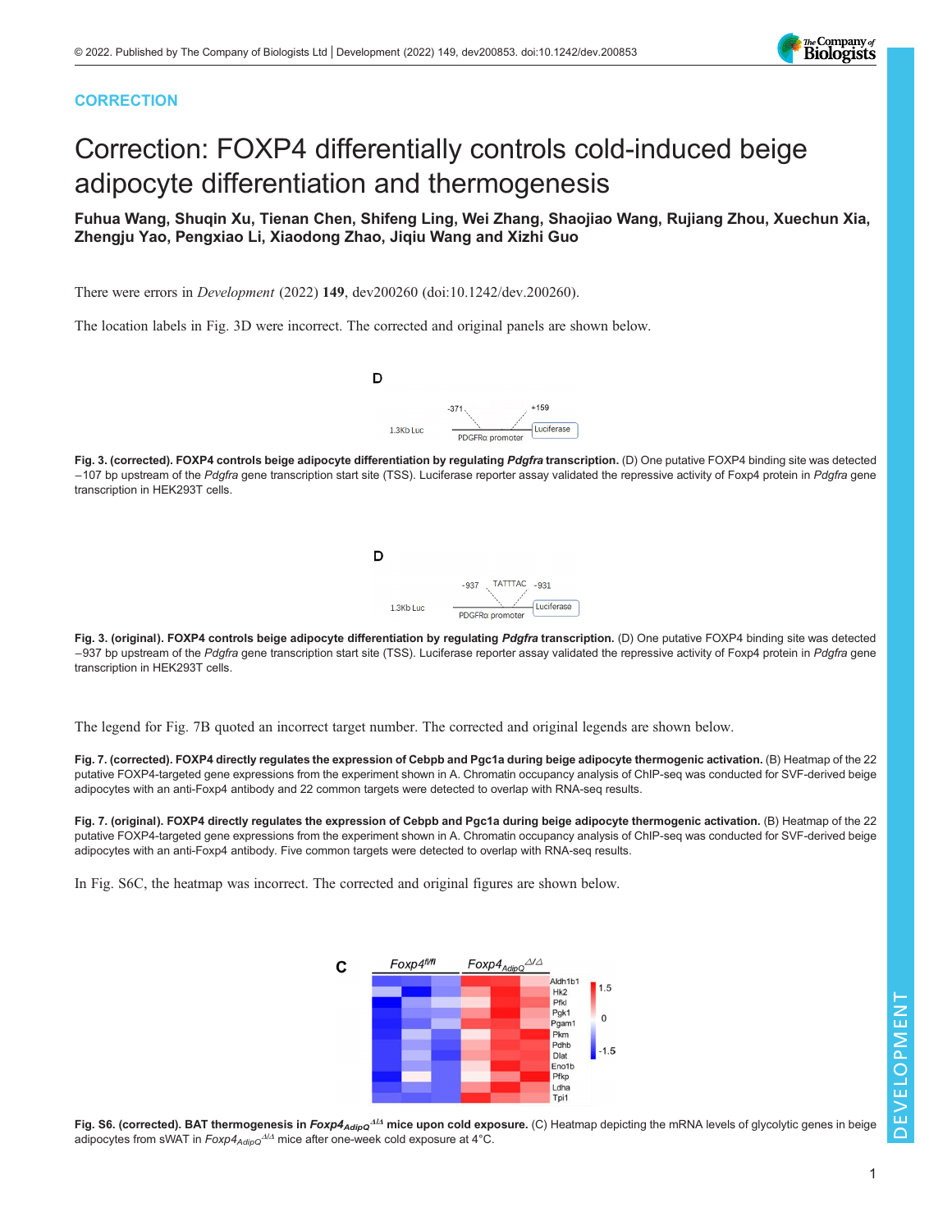# **CORRECTION**

# Correction: FOXP4 differentially controls cold-induced beige adipocyte differentiation and thermogenesis

Fuhua Wang, Shuqin Xu, Tienan Chen, Shifeng Ling, Wei Zhang, Shaojiao Wang, Rujiang Zhou, Xuechun Xia, Zhengju Yao, Pengxiao Li, Xiaodong Zhao, Jiqiu Wang and Xizhi Guo

There were errors in Development (2022) 149, dev200260 ([doi:10.1242/dev.200260](https://doi.org/10.1242/dev.200260)).

The location labels in Fig. 3D were incorrect. The corrected and original panels are shown below.



Fig. 3. (corrected). FOXP4 controls beige adipocyte differentiation by regulating Pdgfra transcription. (D) One putative FOXP4 binding site was detected −107 bp upstream of the Pdgfra gene transcription start site (TSS). Luciferase reporter assay validated the repressive activity of Foxp4 protein in Pdgfra gene transcription in HEK293T cells.



Fig. 3. (original). FOXP4 controls beige adipocyte differentiation by regulating Pdgfra transcription. (D) One putative FOXP4 binding site was detected −937 bp upstream of the Pdgfra gene transcription start site (TSS). Luciferase reporter assay validated the repressive activity of Foxp4 protein in Pdgfra gene transcription in HEK293T cells.

The legend for Fig. 7B quoted an incorrect target number. The corrected and original legends are shown below.

Fig. 7. (corrected). FOXP4 directly regulates the expression of Cebpb and Pgc1a during beige adipocyte thermogenic activation. (B) Heatmap of the 22 putative FOXP4-targeted gene expressions from the experiment shown in A. Chromatin occupancy analysis of ChIP-seq was conducted for SVF-derived beige adipocytes with an anti-Foxp4 antibody and 22 common targets were detected to overlap with RNA-seq results.

Fig. 7. (original). FOXP4 directly regulates the expression of Cebpb and Pgc1a during beige adipocyte thermogenic activation. (B) Heatmap of the 22 putative FOXP4-targeted gene expressions from the experiment shown in A. Chromatin occupancy analysis of ChIP-seq was conducted for SVF-derived beige adipocytes with an anti-Foxp4 antibody. Five common targets were detected to overlap with RNA-seq results.

In Fig. S6C, the heatmap was incorrect. The corrected and original figures are shown below.





1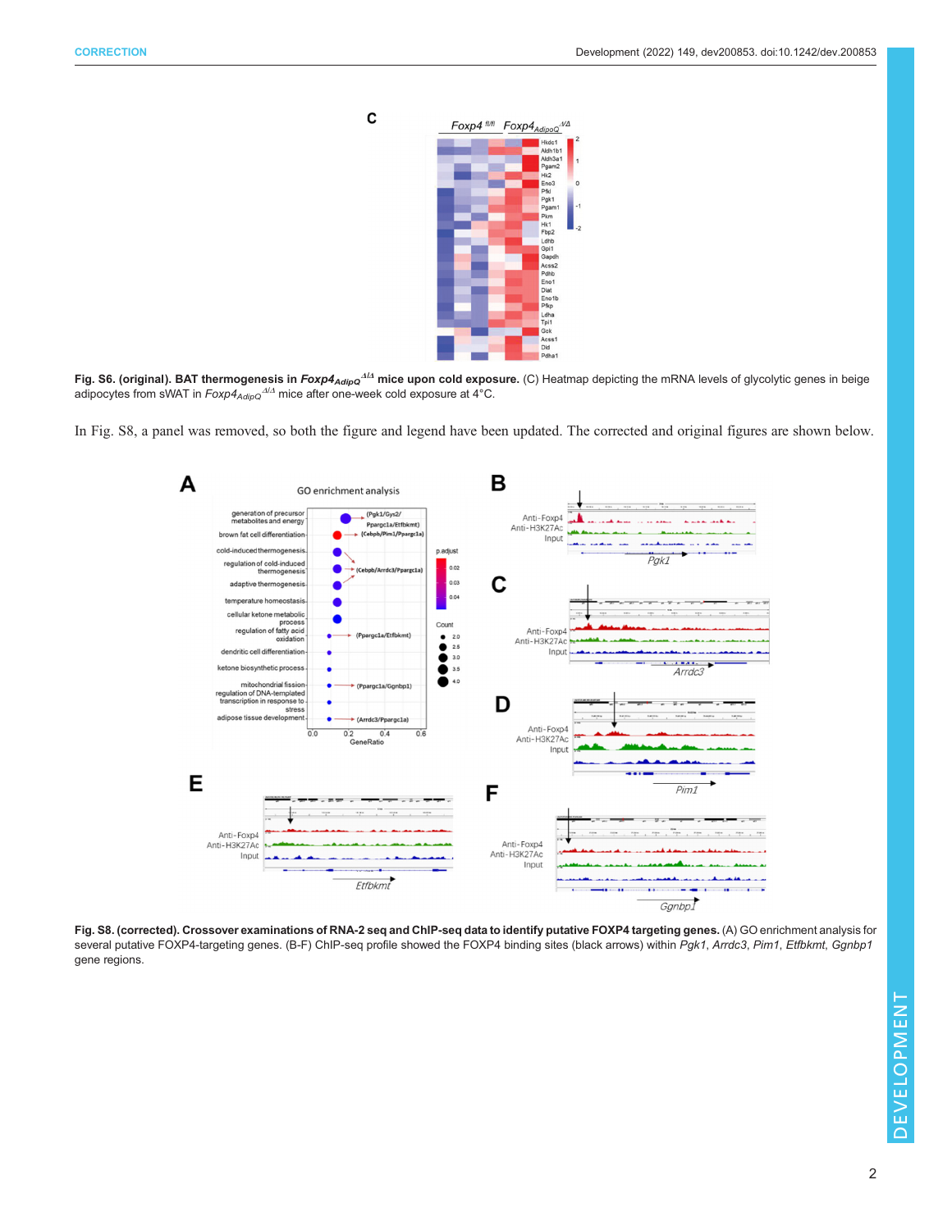$\mathbf c$ 



Fig. S6. (original). BAT thermogenesis in  $Foxp4_{AdipQ}^{A/A}$  mice upon cold exposure. (C) Heatmap depicting the mRNA levels of glycolytic genes in beige adipocytes from sWAT in  $Foxp4_{AdipQ}^{A/A}$  mice after one-week cold exposure at 4°C.

In Fig. S8, a panel was removed, so both the figure and legend have been updated. The corrected and original figures are shown below.



Fig. S8. (corrected). Crossover examinations of RNA-2 seq and ChIP-seq data to identify putative FOXP4 targeting genes. (A) GO enrichment analysis for several putative FOXP4-targeting genes. (B-F) ChIP-seq profile showed the FOXP4 binding sites (black arrows) within Pgk1, Arrdc3, Pim1, Etfbkmt, Ggnbp1 gene regions.